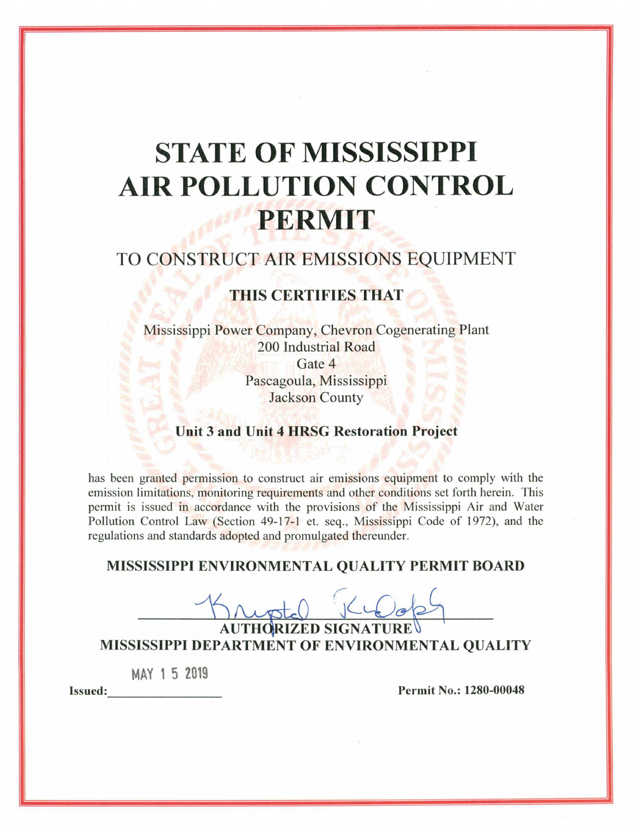# **STATE OF MISSISSIPPI AIR POLLUTION CONTROL** PERMIT

# TO CONSTRUCT AIR EMISSIONS EQUIPMENT

# **THIS CERTIFIES THAT**

Mississippi Power Company, Chevron Cogenerating Plant 200 Industrial Road Gate 4 Pascagoula, Mississippi **Jackson County** 

# Unit 3 and Unit 4 HRSG Restoration Project

has been granted permission to construct air emissions equipment to comply with the emission limitations, monitoring requirements and other conditions set forth herein. This permit is issued in accordance with the provisions of the Mississippi Air and Water Pollution Control Law (Section 49-17-1 et. seq., Mississippi Code of 1972), and the regulations and standards adopted and promulgated thereunder.

# MISSISSIPPI ENVIRONMENTAL QUALITY PERMIT BOARD

**AUTHORIZED SIGNATURE** MISSISSIPPI DEPARTMENT OF ENVIRONMENTAL QUALITY

MAY 15 2019

**Issued:** 

Permit No.: 1280-00048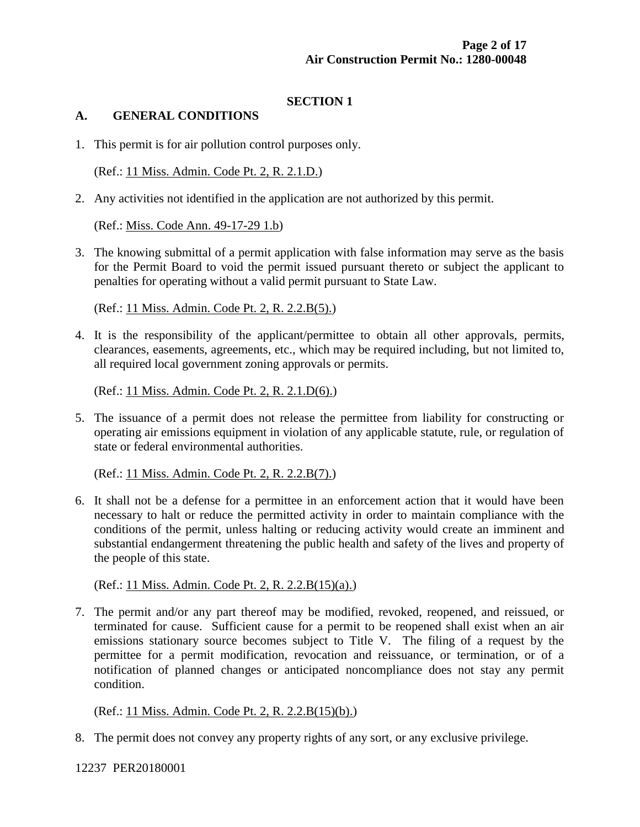# **SECTION 1**

#### **A. GENERAL CONDITIONS**

1. This permit is for air pollution control purposes only.

(Ref.: 11 Miss. Admin. Code Pt. 2, R. 2.1.D.)

2. Any activities not identified in the application are not authorized by this permit.

(Ref.: Miss. Code Ann. 49-17-29 1.b)

3. The knowing submittal of a permit application with false information may serve as the basis for the Permit Board to void the permit issued pursuant thereto or subject the applicant to penalties for operating without a valid permit pursuant to State Law.

(Ref.: 11 Miss. Admin. Code Pt. 2, R. 2.2.B(5).)

4. It is the responsibility of the applicant/permittee to obtain all other approvals, permits, clearances, easements, agreements, etc., which may be required including, but not limited to, all required local government zoning approvals or permits.

(Ref.: 11 Miss. Admin. Code Pt. 2, R. 2.1.D(6).)

5. The issuance of a permit does not release the permittee from liability for constructing or operating air emissions equipment in violation of any applicable statute, rule, or regulation of state or federal environmental authorities.

(Ref.: 11 Miss. Admin. Code Pt. 2, R. 2.2.B(7).)

6. It shall not be a defense for a permittee in an enforcement action that it would have been necessary to halt or reduce the permitted activity in order to maintain compliance with the conditions of the permit, unless halting or reducing activity would create an imminent and substantial endangerment threatening the public health and safety of the lives and property of the people of this state.

(Ref.: 11 Miss. Admin. Code Pt. 2, R. 2.2.B(15)(a).)

7. The permit and/or any part thereof may be modified, revoked, reopened, and reissued, or terminated for cause. Sufficient cause for a permit to be reopened shall exist when an air emissions stationary source becomes subject to Title V. The filing of a request by the permittee for a permit modification, revocation and reissuance, or termination, or of a notification of planned changes or anticipated noncompliance does not stay any permit condition.

#### (Ref.: 11 Miss. Admin. Code Pt. 2, R. 2.2.B(15)(b).)

8. The permit does not convey any property rights of any sort, or any exclusive privilege.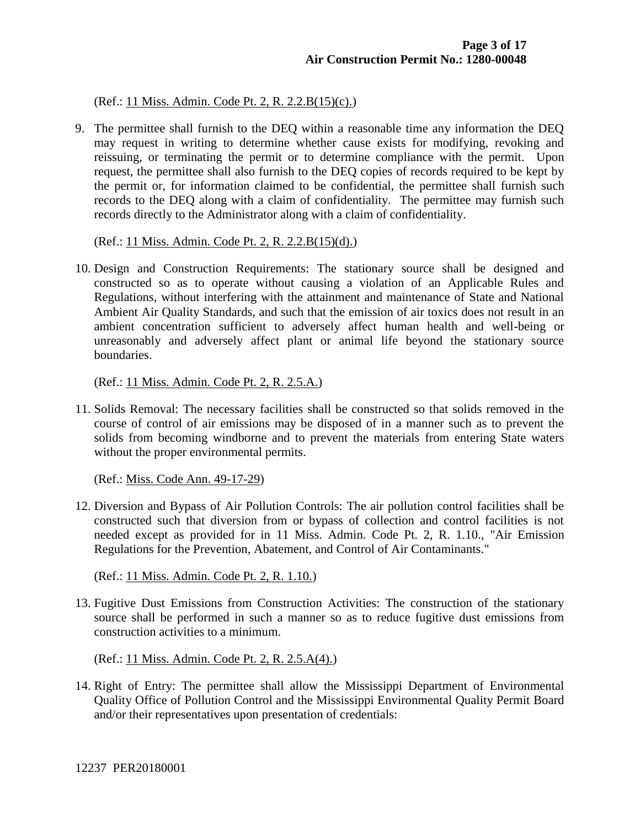(Ref.: 11 Miss. Admin. Code Pt. 2, R. 2.2.B(15)(c).)

9. The permittee shall furnish to the DEQ within a reasonable time any information the DEQ may request in writing to determine whether cause exists for modifying, revoking and reissuing, or terminating the permit or to determine compliance with the permit. Upon request, the permittee shall also furnish to the DEQ copies of records required to be kept by the permit or, for information claimed to be confidential, the permittee shall furnish such records to the DEQ along with a claim of confidentiality. The permittee may furnish such records directly to the Administrator along with a claim of confidentiality.

(Ref.: 11 Miss. Admin. Code Pt. 2, R. 2.2.B(15)(d).)

10. Design and Construction Requirements: The stationary source shall be designed and constructed so as to operate without causing a violation of an Applicable Rules and Regulations, without interfering with the attainment and maintenance of State and National Ambient Air Quality Standards, and such that the emission of air toxics does not result in an ambient concentration sufficient to adversely affect human health and well-being or unreasonably and adversely affect plant or animal life beyond the stationary source boundaries.

(Ref.: 11 Miss. Admin. Code Pt. 2, R. 2.5.A.)

11. Solids Removal: The necessary facilities shall be constructed so that solids removed in the course of control of air emissions may be disposed of in a manner such as to prevent the solids from becoming windborne and to prevent the materials from entering State waters without the proper environmental permits.

(Ref.: Miss. Code Ann. 49-17-29)

12. Diversion and Bypass of Air Pollution Controls: The air pollution control facilities shall be constructed such that diversion from or bypass of collection and control facilities is not needed except as provided for in 11 Miss. Admin. Code Pt. 2, R. 1.10., "Air Emission Regulations for the Prevention, Abatement, and Control of Air Contaminants."

(Ref.: 11 Miss. Admin. Code Pt. 2, R. 1.10.)

13. Fugitive Dust Emissions from Construction Activities: The construction of the stationary source shall be performed in such a manner so as to reduce fugitive dust emissions from construction activities to a minimum.

(Ref.: 11 Miss. Admin. Code Pt. 2, R. 2.5.A(4).)

14. Right of Entry: The permittee shall allow the Mississippi Department of Environmental Quality Office of Pollution Control and the Mississippi Environmental Quality Permit Board and/or their representatives upon presentation of credentials: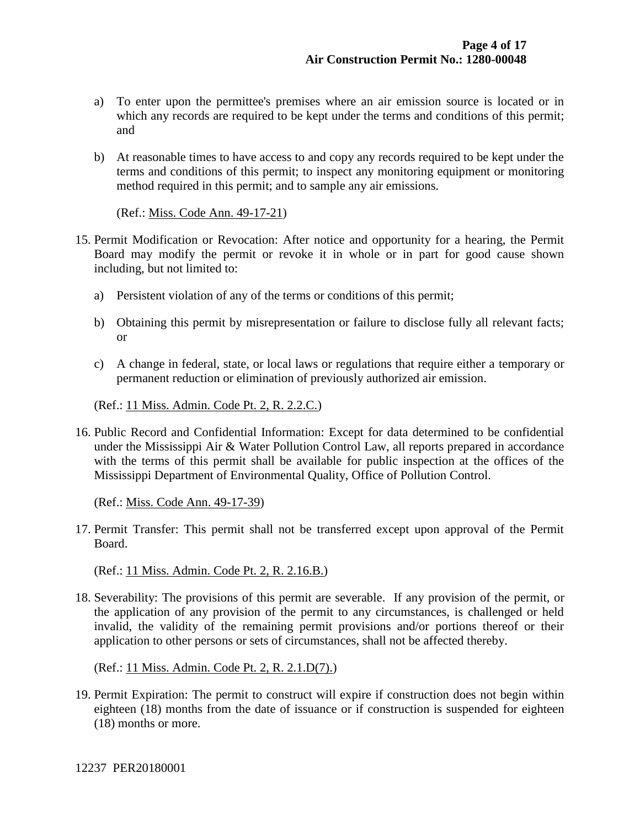- a) To enter upon the permittee's premises where an air emission source is located or in which any records are required to be kept under the terms and conditions of this permit; and
- b) At reasonable times to have access to and copy any records required to be kept under the terms and conditions of this permit; to inspect any monitoring equipment or monitoring method required in this permit; and to sample any air emissions.

(Ref.: Miss. Code Ann. 49-17-21)

- 15. Permit Modification or Revocation: After notice and opportunity for a hearing, the Permit Board may modify the permit or revoke it in whole or in part for good cause shown including, but not limited to:
	- a) Persistent violation of any of the terms or conditions of this permit;
	- b) Obtaining this permit by misrepresentation or failure to disclose fully all relevant facts; or
	- c) A change in federal, state, or local laws or regulations that require either a temporary or permanent reduction or elimination of previously authorized air emission.

(Ref.: 11 Miss. Admin. Code Pt. 2, R. 2.2.C.)

16. Public Record and Confidential Information: Except for data determined to be confidential under the Mississippi Air & Water Pollution Control Law, all reports prepared in accordance with the terms of this permit shall be available for public inspection at the offices of the Mississippi Department of Environmental Quality, Office of Pollution Control.

(Ref.: Miss. Code Ann. 49-17-39)

17. Permit Transfer: This permit shall not be transferred except upon approval of the Permit Board.

(Ref.: 11 Miss. Admin. Code Pt. 2, R. 2.16.B.)

18. Severability: The provisions of this permit are severable. If any provision of the permit, or the application of any provision of the permit to any circumstances, is challenged or held invalid, the validity of the remaining permit provisions and/or portions thereof or their application to other persons or sets of circumstances, shall not be affected thereby.

(Ref.: 11 Miss. Admin. Code Pt. 2, R. 2.1.D(7).)

19. Permit Expiration: The permit to construct will expire if construction does not begin within eighteen (18) months from the date of issuance or if construction is suspended for eighteen (18) months or more.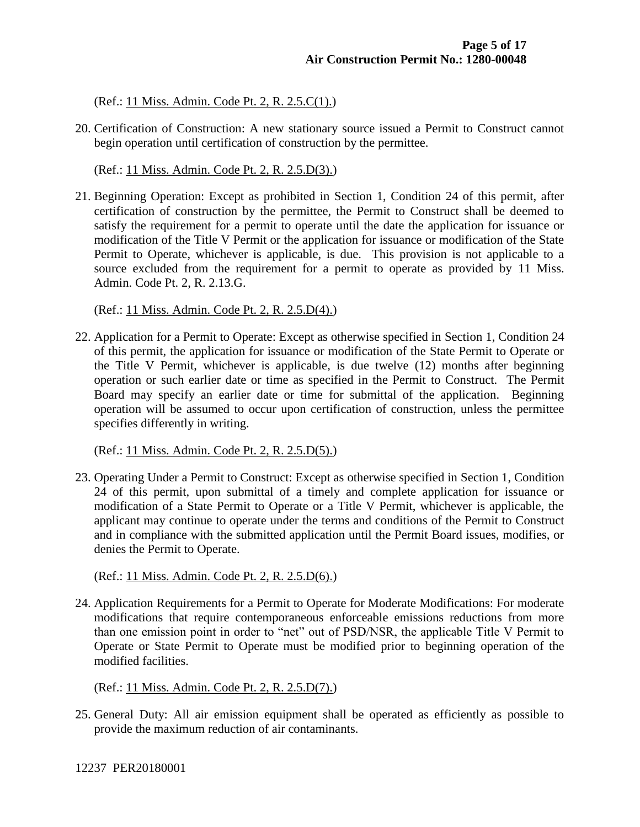(Ref.: 11 Miss. Admin. Code Pt. 2, R. 2.5.C(1).)

20. Certification of Construction: A new stationary source issued a Permit to Construct cannot begin operation until certification of construction by the permittee.

(Ref.: 11 Miss. Admin. Code Pt. 2, R. 2.5.D(3).)

21. Beginning Operation: Except as prohibited in Section 1, Condition 24 of this permit, after certification of construction by the permittee, the Permit to Construct shall be deemed to satisfy the requirement for a permit to operate until the date the application for issuance or modification of the Title V Permit or the application for issuance or modification of the State Permit to Operate, whichever is applicable, is due. This provision is not applicable to a source excluded from the requirement for a permit to operate as provided by 11 Miss. Admin. Code Pt. 2, R. 2.13.G.

(Ref.: 11 Miss. Admin. Code Pt. 2, R. 2.5.D(4).)

22. Application for a Permit to Operate: Except as otherwise specified in Section 1, Condition 24 of this permit, the application for issuance or modification of the State Permit to Operate or the Title V Permit, whichever is applicable, is due twelve (12) months after beginning operation or such earlier date or time as specified in the Permit to Construct. The Permit Board may specify an earlier date or time for submittal of the application. Beginning operation will be assumed to occur upon certification of construction, unless the permittee specifies differently in writing.

(Ref.: 11 Miss. Admin. Code Pt. 2, R. 2.5.D(5).)

23. Operating Under a Permit to Construct: Except as otherwise specified in Section 1, Condition 24 of this permit, upon submittal of a timely and complete application for issuance or modification of a State Permit to Operate or a Title V Permit, whichever is applicable, the applicant may continue to operate under the terms and conditions of the Permit to Construct and in compliance with the submitted application until the Permit Board issues, modifies, or denies the Permit to Operate.

(Ref.: 11 Miss. Admin. Code Pt. 2, R. 2.5.D(6).)

24. Application Requirements for a Permit to Operate for Moderate Modifications: For moderate modifications that require contemporaneous enforceable emissions reductions from more than one emission point in order to "net" out of PSD/NSR, the applicable Title V Permit to Operate or State Permit to Operate must be modified prior to beginning operation of the modified facilities.

(Ref.: 11 Miss. Admin. Code Pt. 2, R. 2.5.D(7).)

25. General Duty: All air emission equipment shall be operated as efficiently as possible to provide the maximum reduction of air contaminants.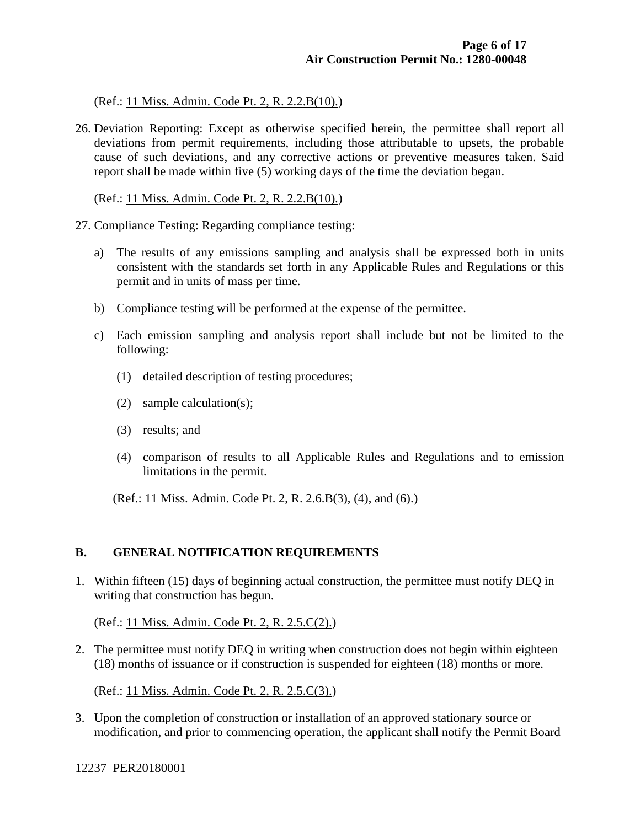(Ref.: 11 Miss. Admin. Code Pt. 2, R. 2.2.B(10).)

26. Deviation Reporting: Except as otherwise specified herein, the permittee shall report all deviations from permit requirements, including those attributable to upsets, the probable cause of such deviations, and any corrective actions or preventive measures taken. Said report shall be made within five (5) working days of the time the deviation began.

(Ref.: 11 Miss. Admin. Code Pt. 2, R. 2.2.B(10).)

- 27. Compliance Testing: Regarding compliance testing:
	- a) The results of any emissions sampling and analysis shall be expressed both in units consistent with the standards set forth in any Applicable Rules and Regulations or this permit and in units of mass per time.
	- b) Compliance testing will be performed at the expense of the permittee.
	- c) Each emission sampling and analysis report shall include but not be limited to the following:
		- (1) detailed description of testing procedures;
		- (2) sample calculation(s);
		- (3) results; and
		- (4) comparison of results to all Applicable Rules and Regulations and to emission limitations in the permit.

(Ref.: 11 Miss. Admin. Code Pt. 2, R. 2.6.B(3), (4), and (6).)

#### **B. GENERAL NOTIFICATION REQUIREMENTS**

1. Within fifteen (15) days of beginning actual construction, the permittee must notify DEQ in writing that construction has begun.

(Ref.: 11 Miss. Admin. Code Pt. 2, R. 2.5.C(2).)

2. The permittee must notify DEQ in writing when construction does not begin within eighteen (18) months of issuance or if construction is suspended for eighteen (18) months or more.

(Ref.: 11 Miss. Admin. Code Pt. 2, R. 2.5.C(3).)

3. Upon the completion of construction or installation of an approved stationary source or modification, and prior to commencing operation, the applicant shall notify the Permit Board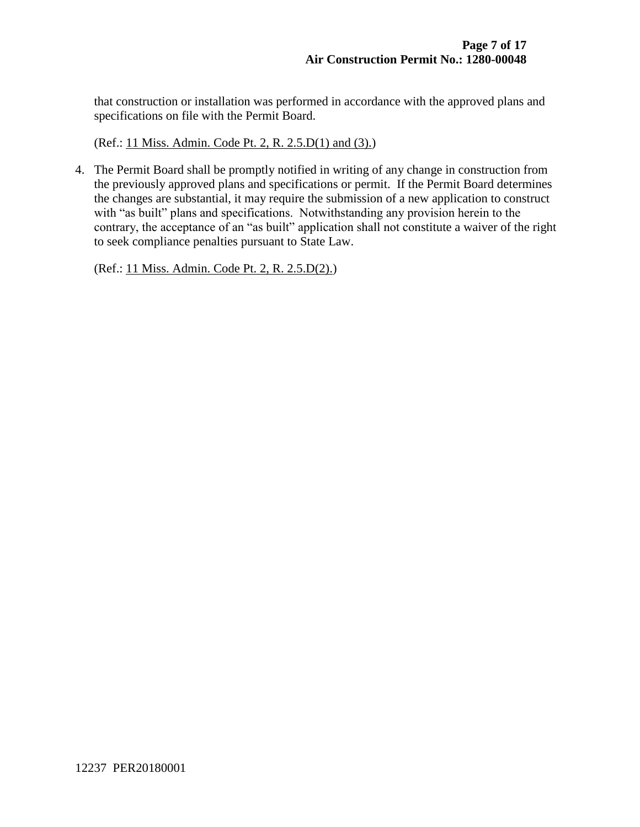that construction or installation was performed in accordance with the approved plans and specifications on file with the Permit Board.

(Ref.: 11 Miss. Admin. Code Pt. 2, R. 2.5.D(1) and (3).)

4. The Permit Board shall be promptly notified in writing of any change in construction from the previously approved plans and specifications or permit. If the Permit Board determines the changes are substantial, it may require the submission of a new application to construct with "as built" plans and specifications. Notwithstanding any provision herein to the contrary, the acceptance of an "as built" application shall not constitute a waiver of the right to seek compliance penalties pursuant to State Law.

(Ref.: 11 Miss. Admin. Code Pt. 2, R. 2.5.D(2).)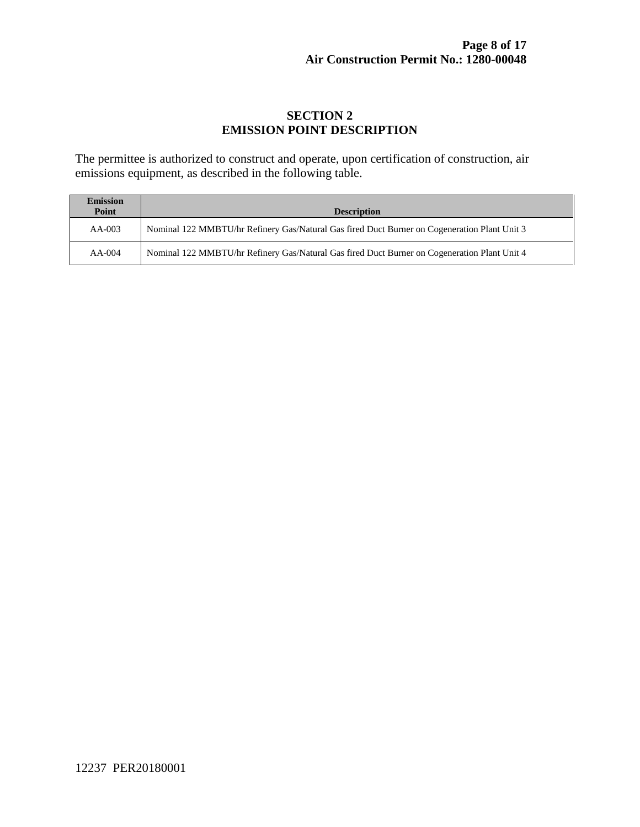# **SECTION 2 EMISSION POINT DESCRIPTION**

The permittee is authorized to construct and operate, upon certification of construction, air emissions equipment, as described in the following table.

| <b>Emission</b><br>Point | <b>Description</b>                                                                           |
|--------------------------|----------------------------------------------------------------------------------------------|
| $AA-003$                 | Nominal 122 MMBTU/hr Refinery Gas/Natural Gas fired Duct Burner on Cogeneration Plant Unit 3 |
| $AA-004$                 | Nominal 122 MMBTU/hr Refinery Gas/Natural Gas fired Duct Burner on Cogeneration Plant Unit 4 |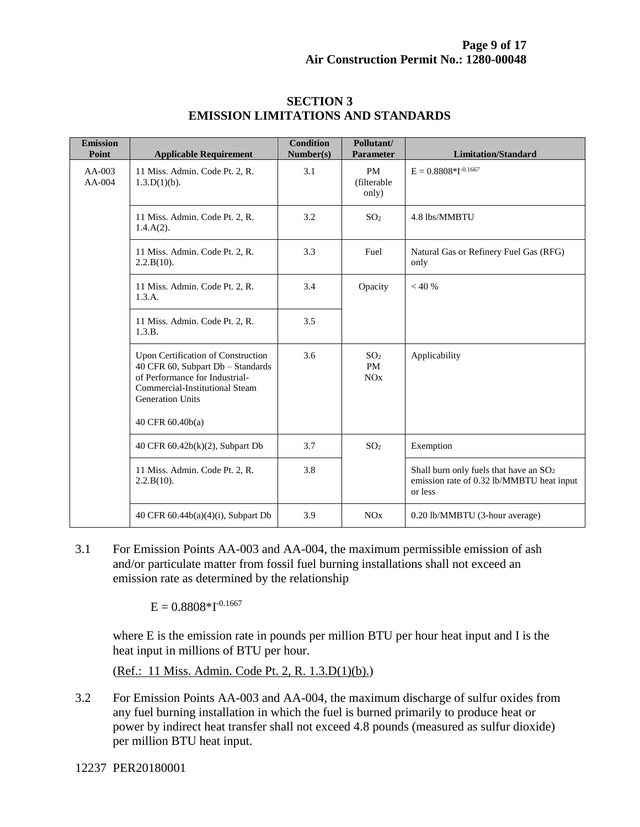| <b>Emission</b><br>Point | <b>Applicable Requirement</b>                                                                                                                                                              | <b>Condition</b><br>Number(s) | Pollutant/<br><b>Parameter</b>      | <b>Limitation/Standard</b>                                                                                 |
|--------------------------|--------------------------------------------------------------------------------------------------------------------------------------------------------------------------------------------|-------------------------------|-------------------------------------|------------------------------------------------------------------------------------------------------------|
| $AA-003$<br>$AA-004$     | 11 Miss. Admin. Code Pt. 2, R.<br>$1.3.D(1)(b)$ .                                                                                                                                          | 3.1                           | <b>PM</b><br>(filterable<br>only)   | $E = 0.8808*I^{-0.1667}$                                                                                   |
|                          | 11 Miss. Admin. Code Pt. 2, R.<br>$1.4.A(2)$ .                                                                                                                                             | 3.2                           | SO <sub>2</sub>                     | 4.8 lbs/MMBTU                                                                                              |
|                          | 11 Miss. Admin. Code Pt. 2, R.<br>2.2.B(10).                                                                                                                                               | 3.3                           | Fuel                                | Natural Gas or Refinery Fuel Gas (RFG)<br>only                                                             |
|                          | 11 Miss. Admin. Code Pt. 2, R.<br>1.3.A.                                                                                                                                                   | 3.4                           | Opacity                             | < 40 %                                                                                                     |
|                          | 11 Miss. Admin. Code Pt. 2, R.<br>1.3.B.                                                                                                                                                   | 3.5                           |                                     |                                                                                                            |
|                          | Upon Certification of Construction<br>40 CFR 60, Subpart Db - Standards<br>of Performance for Industrial-<br>Commercial-Institutional Steam<br><b>Generation Units</b><br>40 CFR 60.40b(a) | 3.6                           | SO <sub>2</sub><br><b>PM</b><br>NOx | Applicability                                                                                              |
|                          | 40 CFR 60.42b(k)(2), Subpart Db                                                                                                                                                            | 3.7                           | SO <sub>2</sub>                     | Exemption                                                                                                  |
|                          | 11 Miss. Admin. Code Pt. 2, R.<br>2.2.B(10).                                                                                                                                               | 3.8                           |                                     | Shall burn only fuels that have an SO <sub>2</sub><br>emission rate of 0.32 lb/MMBTU heat input<br>or less |
|                          | 40 CFR $60.44b(a)(4)(i)$ , Subpart Db                                                                                                                                                      | 3.9                           | NOx                                 | 0.20 lb/MMBTU (3-hour average)                                                                             |

#### **SECTION 3 EMISSION LIMITATIONS AND STANDARDS**

3.1 For Emission Points AA-003 and AA-004, the maximum permissible emission of ash and/or particulate matter from fossil fuel burning installations shall not exceed an emission rate as determined by the relationship

 $E = 0.8808 * I^{-0.1667}$ 

where E is the emission rate in pounds per million BTU per hour heat input and I is the heat input in millions of BTU per hour.

(Ref.: 11 Miss. Admin. Code Pt. 2, R. 1.3.D(1)(b).)

3.2 For Emission Points AA-003 and AA-004, the maximum discharge of sulfur oxides from any fuel burning installation in which the fuel is burned primarily to produce heat or power by indirect heat transfer shall not exceed 4.8 pounds (measured as sulfur dioxide) per million BTU heat input.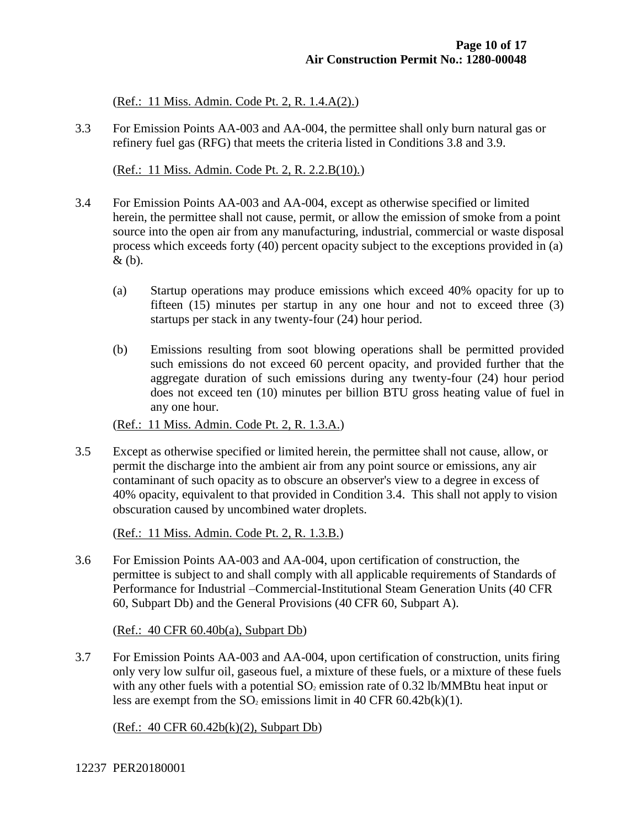(Ref.: 11 Miss. Admin. Code Pt. 2, R. 1.4.A(2).)

3.3 For Emission Points AA-003 and AA-004, the permittee shall only burn natural gas or refinery fuel gas (RFG) that meets the criteria listed in Conditions 3.8 and 3.9.

(Ref.: 11 Miss. Admin. Code Pt. 2, R. 2.2.B(10).)

- 3.4 For Emission Points AA-003 and AA-004, except as otherwise specified or limited herein, the permittee shall not cause, permit, or allow the emission of smoke from a point source into the open air from any manufacturing, industrial, commercial or waste disposal process which exceeds forty (40) percent opacity subject to the exceptions provided in (a) & (b).
	- (a) Startup operations may produce emissions which exceed 40% opacity for up to fifteen (15) minutes per startup in any one hour and not to exceed three (3) startups per stack in any twenty-four (24) hour period.
	- (b) Emissions resulting from soot blowing operations shall be permitted provided such emissions do not exceed 60 percent opacity, and provided further that the aggregate duration of such emissions during any twenty-four (24) hour period does not exceed ten (10) minutes per billion BTU gross heating value of fuel in any one hour.

(Ref.: 11 Miss. Admin. Code Pt. 2, R. 1.3.A.)

3.5 Except as otherwise specified or limited herein, the permittee shall not cause, allow, or permit the discharge into the ambient air from any point source or emissions, any air contaminant of such opacity as to obscure an observer's view to a degree in excess of 40% opacity, equivalent to that provided in Condition 3.4. This shall not apply to vision obscuration caused by uncombined water droplets.

(Ref.: 11 Miss. Admin. Code Pt. 2, R. 1.3.B.)

3.6 For Emission Points AA-003 and AA-004, upon certification of construction, the permittee is subject to and shall comply with all applicable requirements of Standards of Performance for Industrial –Commercial-Institutional Steam Generation Units (40 CFR 60, Subpart Db) and the General Provisions (40 CFR 60, Subpart A).

(Ref.: 40 CFR 60.40b(a), Subpart Db)

3.7 For Emission Points AA-003 and AA-004, upon certification of construction, units firing only very low sulfur oil, gaseous fuel, a mixture of these fuels, or a mixture of these fuels with any other fuels with a potential  $SO_2$  emission rate of 0.32 lb/MMBtu heat input or less are exempt from the  $SO_2$  emissions limit in 40 CFR 60.42b(k)(1).

(Ref.: 40 CFR 60.42b(k)(2), Subpart Db)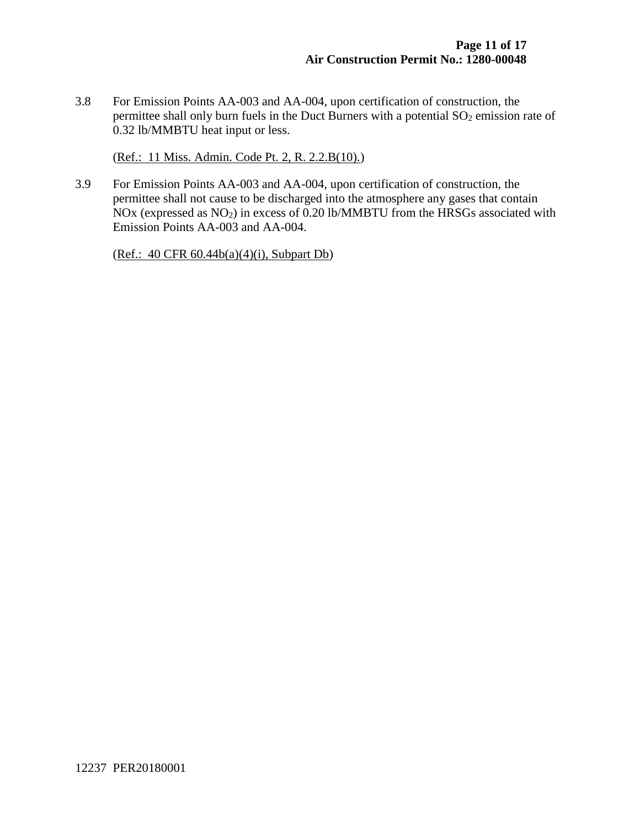3.8 For Emission Points AA-003 and AA-004, upon certification of construction, the permittee shall only burn fuels in the Duct Burners with a potential  $SO_2$  emission rate of 0.32 lb/MMBTU heat input or less.

(Ref.: 11 Miss. Admin. Code Pt. 2, R. 2.2.B(10).)

3.9 For Emission Points AA-003 and AA-004, upon certification of construction, the permittee shall not cause to be discharged into the atmosphere any gases that contain NOx (expressed as  $NO<sub>2</sub>$ ) in excess of 0.20 lb/MMBTU from the HRSGs associated with Emission Points AA-003 and AA-004.

(Ref.: 40 CFR 60.44b(a)(4)(i), Subpart Db)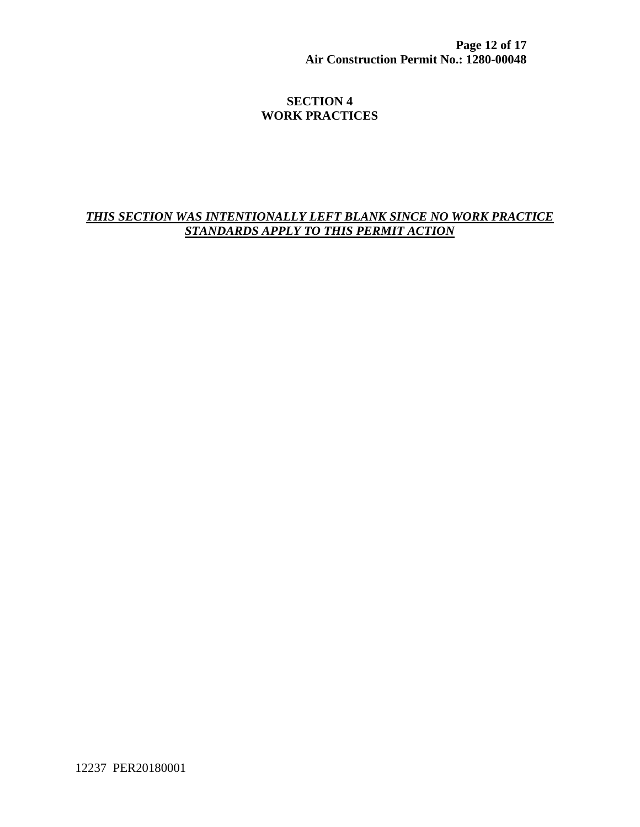**Page 12 of 17 Air Construction Permit No.: 1280-00048**

### **SECTION 4 WORK PRACTICES**

# *THIS SECTION WAS INTENTIONALLY LEFT BLANK SINCE NO WORK PRACTICE STANDARDS APPLY TO THIS PERMIT ACTION*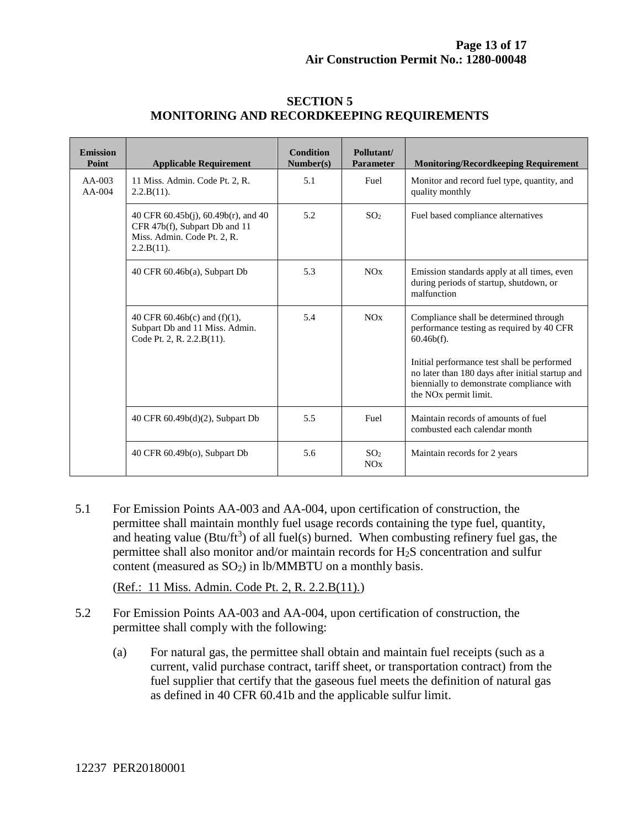| <b>Emission</b><br>Point | <b>Applicable Requirement</b>                                                                                                | <b>Condition</b><br>Number(s) | Pollutant/<br><b>Parameter</b> | <b>Monitoring/Recordkeeping Requirement</b>                                                                                                                                       |
|--------------------------|------------------------------------------------------------------------------------------------------------------------------|-------------------------------|--------------------------------|-----------------------------------------------------------------------------------------------------------------------------------------------------------------------------------|
| $AA-003$<br>$AA-004$     | 11 Miss. Admin. Code Pt. 2, R.<br>$2.2.B(11)$ .                                                                              | 5.1                           | Fuel                           | Monitor and record fuel type, quantity, and<br>quality monthly                                                                                                                    |
|                          | 40 CFR $60.45b(i)$ , $60.49b(r)$ , and $40$<br>CFR 47b(f), Subpart Db and 11<br>Miss. Admin. Code Pt. 2, R.<br>$2.2.B(11)$ . | 5.2                           | SO <sub>2</sub>                | Fuel based compliance alternatives                                                                                                                                                |
|                          | 40 CFR 60.46b(a), Subpart Db                                                                                                 | 5.3                           | NOx                            | Emission standards apply at all times, even<br>during periods of startup, shutdown, or<br>malfunction                                                                             |
|                          | 40 CFR $60.46b(c)$ and $(f)(1)$ ,<br>Subpart Db and 11 Miss. Admin.<br>Code Pt. 2, R. 2.2. B(11).                            | 5.4                           | NOx                            | Compliance shall be determined through<br>performance testing as required by 40 CFR<br>$60.46b(f)$ .                                                                              |
|                          |                                                                                                                              |                               |                                | Initial performance test shall be performed<br>no later than 180 days after initial startup and<br>biennially to demonstrate compliance with<br>the NO <sub>x</sub> permit limit. |
|                          | 40 CFR 60.49b(d)(2), Subpart Db                                                                                              | 5.5                           | Fuel                           | Maintain records of amounts of fuel<br>combusted each calendar month                                                                                                              |
|                          | 40 CFR 60.49b(o), Subpart Db                                                                                                 | 5.6                           | SO <sub>2</sub><br>NOx         | Maintain records for 2 years                                                                                                                                                      |

#### **SECTION 5 MONITORING AND RECORDKEEPING REQUIREMENTS**

5.1 For Emission Points AA-003 and AA-004, upon certification of construction, the permittee shall maintain monthly fuel usage records containing the type fuel, quantity, and heating value ( $Btu/ft^3$ ) of all fuel(s) burned. When combusting refinery fuel gas, the permittee shall also monitor and/or maintain records for H2S concentration and sulfur content (measured as  $SO_2$ ) in lb/MMBTU on a monthly basis.

(Ref.: 11 Miss. Admin. Code Pt. 2, R. 2.2.B(11).)

- 5.2 For Emission Points AA-003 and AA-004, upon certification of construction, the permittee shall comply with the following:
	- (a) For natural gas, the permittee shall obtain and maintain fuel receipts (such as a current, valid purchase contract, tariff sheet, or transportation contract) from the fuel supplier that certify that the gaseous fuel meets the definition of natural gas as defined in 40 CFR 60.41b and the applicable sulfur limit.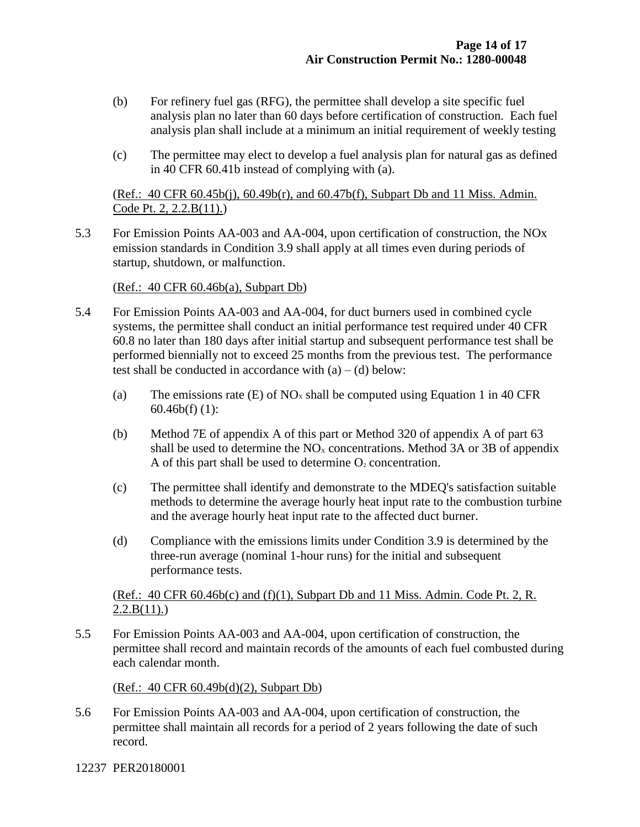- (b) For refinery fuel gas (RFG), the permittee shall develop a site specific fuel analysis plan no later than 60 days before certification of construction. Each fuel analysis plan shall include at a minimum an initial requirement of weekly testing
- (c) The permittee may elect to develop a fuel analysis plan for natural gas as defined in 40 CFR 60.41b instead of complying with (a).

(Ref.: 40 CFR 60.45b(j), 60.49b(r), and 60.47b(f), Subpart Db and 11 Miss. Admin. Code Pt. 2, 2.2.B(11).)

5.3 For Emission Points AA-003 and AA-004, upon certification of construction, the NOx emission standards in Condition 3.9 shall apply at all times even during periods of startup, shutdown, or malfunction.

(Ref.: 40 CFR 60.46b(a), Subpart Db)

- 5.4 For Emission Points AA-003 and AA-004, for duct burners used in combined cycle systems, the permittee shall conduct an initial performance test required under 40 CFR 60.8 no later than 180 days after initial startup and subsequent performance test shall be performed biennially not to exceed 25 months from the previous test. The performance test shall be conducted in accordance with  $(a) - (d)$  below:
	- (a) The emissions rate (E) of  $NO<sub>x</sub>$  shall be computed using Equation 1 in 40 CFR 60.46b(f) (1):
	- (b) Method 7E of appendix A of this part or Method 320 of appendix A of part 63 shall be used to determine the  $NO<sub>x</sub>$  concentrations. Method 3A or 3B of appendix A of this part shall be used to determine  $O_2$  concentration.
	- (c) The permittee shall identify and demonstrate to the MDEQ's satisfaction suitable methods to determine the average hourly heat input rate to the combustion turbine and the average hourly heat input rate to the affected duct burner.
	- (d) Compliance with the emissions limits under Condition 3.9 is determined by the three-run average (nominal 1-hour runs) for the initial and subsequent performance tests.

#### (Ref.:  $40 \text{ CFR } 60.46b(c)$  and  $(f)(1)$ , Subpart Db and 11 Miss. Admin. Code Pt. 2, R.  $2.2.B(11)$ .

5.5 For Emission Points AA-003 and AA-004, upon certification of construction, the permittee shall record and maintain records of the amounts of each fuel combusted during each calendar month.

(Ref.: 40 CFR 60.49b(d)(2), Subpart Db)

5.6 For Emission Points AA-003 and AA-004, upon certification of construction, the permittee shall maintain all records for a period of 2 years following the date of such record.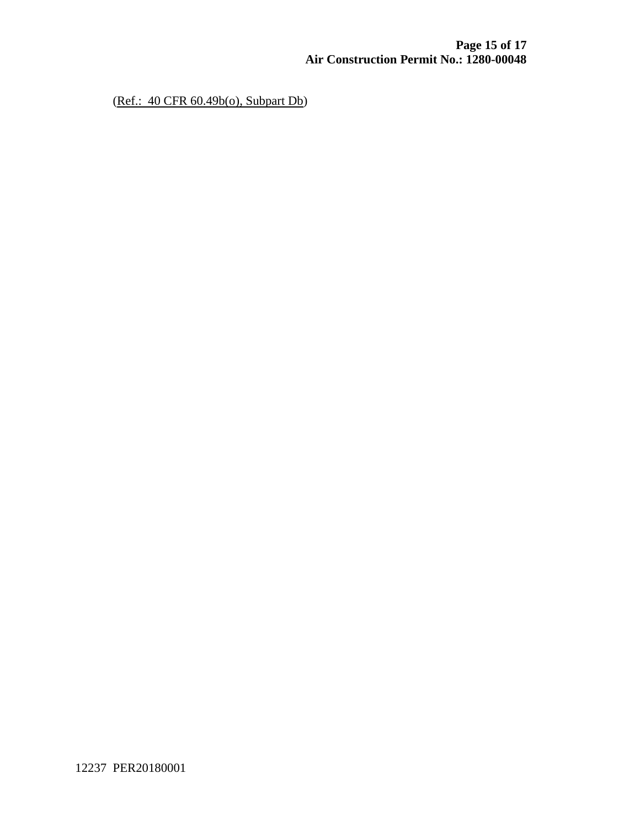(Ref.: 40 CFR 60.49b(o), Subpart Db)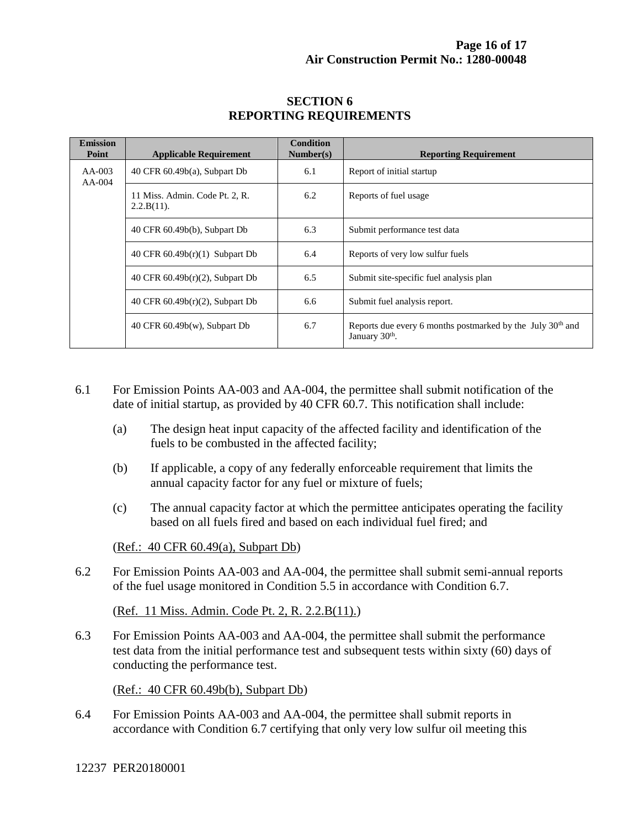| <b>Emission</b><br>Point | <b>Applicable Requirement</b>                   | <b>Condition</b><br>Number(s) | <b>Reporting Requirement</b>                                                            |
|--------------------------|-------------------------------------------------|-------------------------------|-----------------------------------------------------------------------------------------|
| $AA-003$<br>$AA-004$     | 40 CFR $60.49b(a)$ , Subpart Db                 | 6.1                           | Report of initial startup                                                               |
|                          | 11 Miss. Admin. Code Pt. 2, R.<br>$2.2.B(11)$ . | 6.2                           | Reports of fuel usage                                                                   |
|                          | 40 CFR 60.49b(b), Subpart Db                    | 6.3                           | Submit performance test data                                                            |
|                          | 40 CFR 60.49b(r)(1) Subpart Db                  | 6.4                           | Reports of very low sulfur fuels                                                        |
|                          | 40 CFR 60.49b(r)(2), Subpart Db                 | 6.5                           | Submit site-specific fuel analysis plan                                                 |
|                          | 40 CFR 60.49b(r)(2), Subpart Db                 | 6.6                           | Submit fuel analysis report.                                                            |
|                          | 40 CFR $60.49b(w)$ , Subpart Db                 | 6.7                           | Reports due every 6 months postmarked by the July 30 <sup>th</sup> and<br>January 30th. |

#### **SECTION 6 REPORTING REQUIREMENTS**

- 6.1 For Emission Points AA-003 and AA-004, the permittee shall submit notification of the date of initial startup, as provided by 40 CFR 60.7. This notification shall include:
	- (a) The design heat input capacity of the affected facility and identification of the fuels to be combusted in the affected facility;
	- (b) If applicable, a copy of any federally enforceable requirement that limits the annual capacity factor for any fuel or mixture of fuels;
	- (c) The annual capacity factor at which the permittee anticipates operating the facility based on all fuels fired and based on each individual fuel fired; and

(Ref.: 40 CFR 60.49(a), Subpart Db)

6.2 For Emission Points AA-003 and AA-004, the permittee shall submit semi-annual reports of the fuel usage monitored in Condition 5.5 in accordance with Condition 6.7.

(Ref. 11 Miss. Admin. Code Pt. 2, R. 2.2.B(11).)

6.3 For Emission Points AA-003 and AA-004, the permittee shall submit the performance test data from the initial performance test and subsequent tests within sixty (60) days of conducting the performance test.

(Ref.: 40 CFR 60.49b(b), Subpart Db)

6.4 For Emission Points AA-003 and AA-004, the permittee shall submit reports in accordance with Condition 6.7 certifying that only very low sulfur oil meeting this